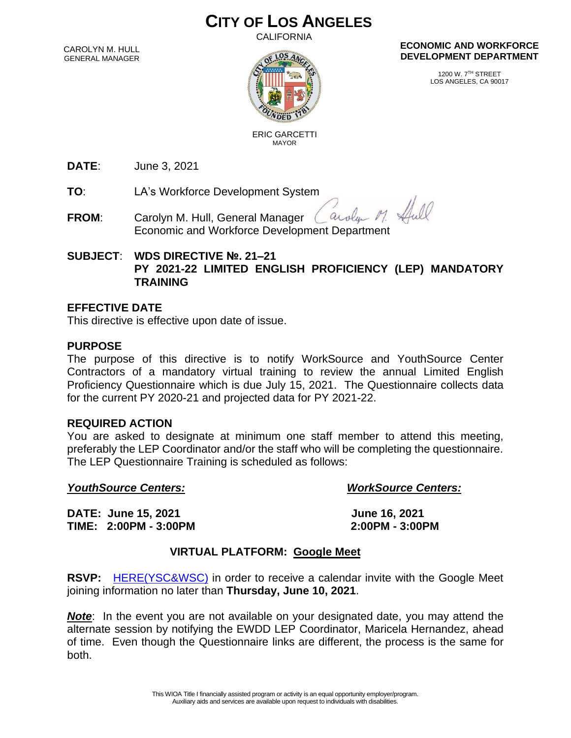# **CITY OF LOS ANGELES**

CALIFORNIA

CAROLYN M. HULL GENERAL MANAGER



#### **ECONOMIC AND WORKFORCE DEVELOPMENT DEPARTMENT**

1200 W. 7TH STREET LOS ANGELES, CA 90017

 ERIC GARCETTI MAYOR

**DATE**: June 3, 2021

**TO**: LA's Workforce Development System

- arolan M. **FROM**: Carolyn M. Hull, General Manager Economic and Workforce Development Department
- **SUBJECT**: **WDS DIRECTIVE №. 21–21 PY 2021-22 LIMITED ENGLISH PROFICIENCY (LEP) MANDATORY TRAINING**

### **EFFECTIVE DATE**

This directive is effective upon date of issue.

#### **PURPOSE**

The purpose of this directive is to notify WorkSource and YouthSource Center Contractors of a mandatory virtual training to review the annual Limited English Proficiency Questionnaire which is due July 15, 2021. The Questionnaire collects data for the current PY 2020-21 and projected data for PY 2021-22.

#### **REQUIRED ACTION**

You are asked to designate at minimum one staff member to attend this meeting, preferably the LEP Coordinator and/or the staff who will be completing the questionnaire. The LEP Questionnaire Training is scheduled as follows:

#### *YouthSource Centers: WorkSource Centers:*

Shill

**DATE: June 15, 2021 June 16, 2021 TIME: 2:00PM - 3:00PM 2:00PM - 3:00PM**

## **VIRTUAL PLATFORM: Google Meet**

**RSVP:** [HERE\(YSC&WSC\)](https://docs.google.com/forms/d/e/1FAIpQLSd5ky8OmFv1N2Dr7M4WCnRE6zTK1fqjhDWefrynqjei7nFMcw/viewform) in order to receive a calendar invite with the Google Meet joining information no later than **Thursday, June 10, 2021**.

*Note*: In the event you are not available on your designated date, you may attend the alternate session by notifying the EWDD LEP Coordinator, Maricela Hernandez, ahead of time. Even though the Questionnaire links are different, the process is the same for both.